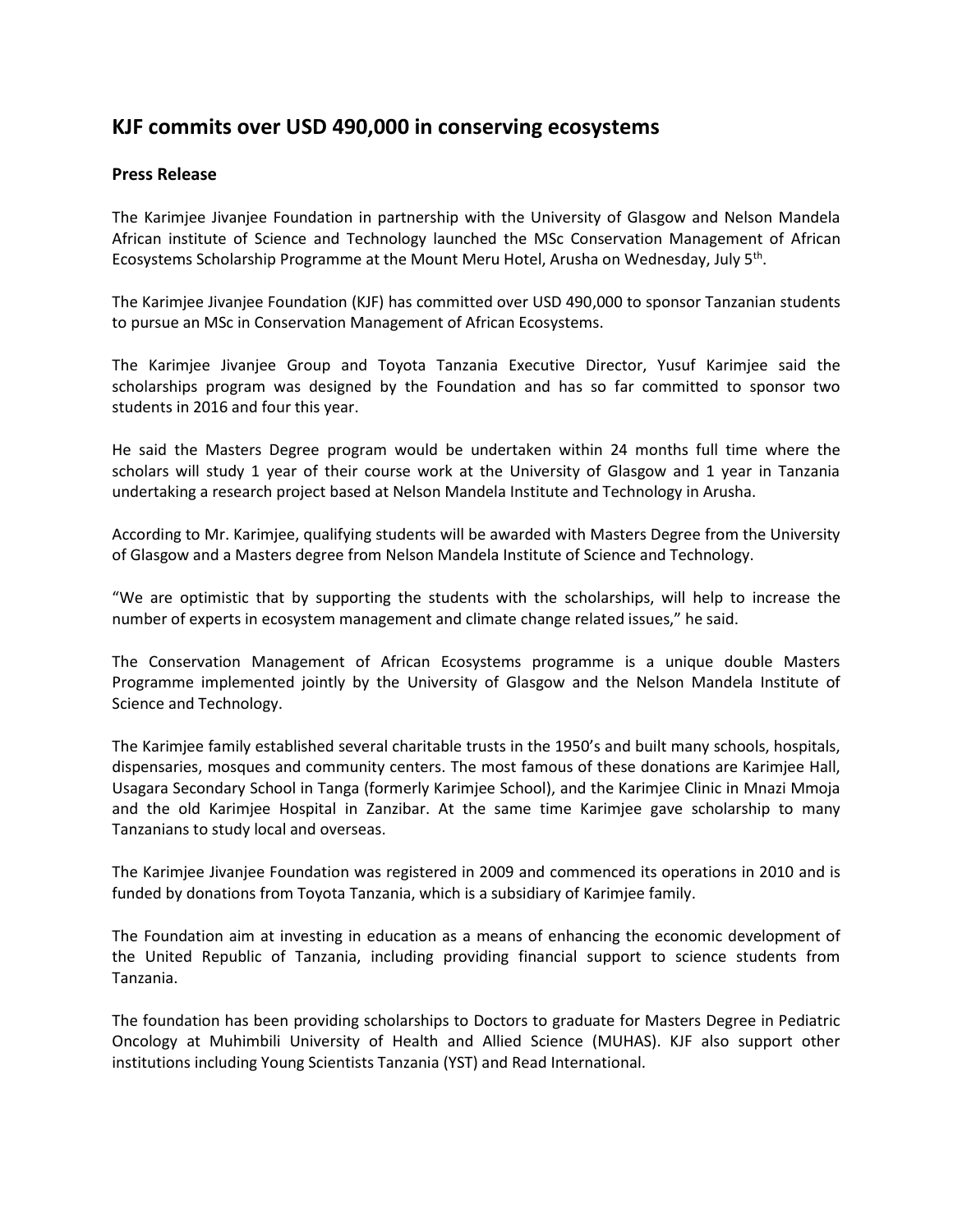## **KJF commits over USD 490,000 in conserving ecosystems**

## **Press Release**

The Karimjee Jivanjee Foundation in partnership with the University of Glasgow and Nelson Mandela African institute of Science and Technology launched the MSc Conservation Management of African Ecosystems Scholarship Programme at the Mount Meru Hotel, Arusha on Wednesday, July 5<sup>th</sup>.

The Karimjee Jivanjee Foundation (KJF) has committed over USD 490,000 to sponsor Tanzanian students to pursue an MSc in Conservation Management of African Ecosystems.

The Karimjee Jivanjee Group and Toyota Tanzania Executive Director, Yusuf Karimjee said the scholarships program was designed by the Foundation and has so far committed to sponsor two students in 2016 and four this year.

He said the Masters Degree program would be undertaken within 24 months full time where the scholars will study 1 year of their course work at the University of Glasgow and 1 year in Tanzania undertaking a research project based at Nelson Mandela Institute and Technology in Arusha.

According to Mr. Karimjee, qualifying students will be awarded with Masters Degree from the University of Glasgow and a Masters degree from Nelson Mandela Institute of Science and Technology.

"We are optimistic that by supporting the students with the scholarships, will help to increase the number of experts in ecosystem management and climate change related issues," he said.

The Conservation Management of African Ecosystems programme is a unique double Masters Programme implemented jointly by the University of Glasgow and the Nelson Mandela Institute of Science and Technology.

The Karimjee family established several charitable trusts in the 1950's and built many schools, hospitals, dispensaries, mosques and community centers. The most famous of these donations are Karimjee Hall, Usagara Secondary School in Tanga (formerly Karimjee School), and the Karimjee Clinic in Mnazi Mmoja and the old Karimjee Hospital in Zanzibar. At the same time Karimjee gave scholarship to many Tanzanians to study local and overseas.

The Karimjee Jivanjee Foundation was registered in 2009 and commenced its operations in 2010 and is funded by donations from Toyota Tanzania, which is a subsidiary of Karimjee family.

The Foundation aim at investing in education as a means of enhancing the economic development of the United Republic of Tanzania, including providing financial support to science students from Tanzania.

The foundation has been providing scholarships to Doctors to graduate for Masters Degree in Pediatric Oncology at Muhimbili University of Health and Allied Science (MUHAS). KJF also support other institutions including Young Scientists Tanzania (YST) and Read International.